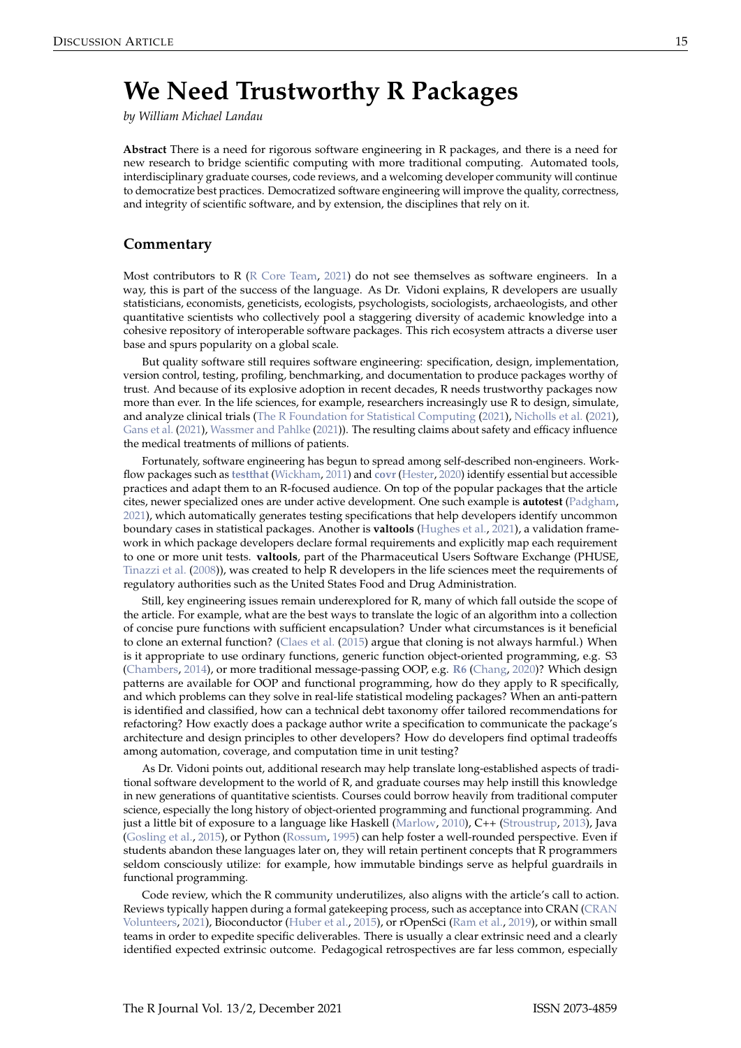## <span id="page-0-0"></span>**We Need Trustworthy R Packages**

*by William Michael Landau*

**Abstract** There is a need for rigorous software engineering in R packages, and there is a need for new research to bridge scientific computing with more traditional computing. Automated tools, interdisciplinary graduate courses, code reviews, and a welcoming developer community will continue to democratize best practices. Democratized software engineering will improve the quality, correctness, and integrity of scientific software, and by extension, the disciplines that rely on it.

## **Commentary**

Most contributors to R [\(R Core Team,](#page-2-0) [2021\)](#page-2-0) do not see themselves as software engineers. In a way, this is part of the success of the language. As Dr. Vidoni explains, R developers are usually statisticians, economists, geneticists, ecologists, psychologists, sociologists, archaeologists, and other quantitative scientists who collectively pool a staggering diversity of academic knowledge into a cohesive repository of interoperable software packages. This rich ecosystem attracts a diverse user base and spurs popularity on a global scale.

But quality software still requires software engineering: specification, design, implementation, version control, testing, profiling, benchmarking, and documentation to produce packages worthy of trust. And because of its explosive adoption in recent decades, R needs trustworthy packages now more than ever. In the life sciences, for example, researchers increasingly use R to design, simulate, and analyze clinical trials [\(The R Foundation for Statistical Computing](#page-2-1) [\(2021\)](#page-2-1), [Nicholls et al.](#page-1-0) [\(2021\)](#page-1-0), [Gans et al.](#page-1-1) [\(2021\)](#page-1-1), [Wassmer and Pahlke](#page-2-2) [\(2021\)](#page-2-2)). The resulting claims about safety and efficacy influence the medical treatments of millions of patients.

Fortunately, software engineering has begun to spread among self-described non-engineers. Workflow packages such as **[testthat](https://CRAN.R-project.org/package=testthat)** [\(Wickham,](#page-2-3) [2011\)](#page-2-3) and **[covr](https://CRAN.R-project.org/package=covr)** [\(Hester,](#page-1-2) [2020\)](#page-1-2) identify essential but accessible practices and adapt them to an R-focused audience. On top of the popular packages that the article cites, newer specialized ones are under active development. One such example is **autotest** [\(Padgham,](#page-1-3) [2021\)](#page-1-3), which automatically generates testing specifications that help developers identify uncommon boundary cases in statistical packages. Another is **valtools** [\(Hughes et al.,](#page-1-4) [2021\)](#page-1-4), a validation framework in which package developers declare formal requirements and explicitly map each requirement to one or more unit tests. **valtools**, part of the Pharmaceutical Users Software Exchange (PHUSE, [Tinazzi et al.](#page-2-4) [\(2008\)](#page-2-4)), was created to help R developers in the life sciences meet the requirements of regulatory authorities such as the United States Food and Drug Administration.

Still, key engineering issues remain underexplored for R, many of which fall outside the scope of the article. For example, what are the best ways to translate the logic of an algorithm into a collection of concise pure functions with sufficient encapsulation? Under what circumstances is it beneficial to clone an external function? [\(Claes et al.](#page-1-5) [\(2015\)](#page-1-5) argue that cloning is not always harmful.) When is it appropriate to use ordinary functions, generic function object-oriented programming, e.g. S3 [\(Chambers,](#page-1-6) [2014\)](#page-1-6), or more traditional message-passing OOP, e.g. **[R6](https://CRAN.R-project.org/package=R6)** [\(Chang,](#page-1-7) [2020\)](#page-1-7)? Which design patterns are available for OOP and functional programming, how do they apply to R specifically, and which problems can they solve in real-life statistical modeling packages? When an anti-pattern is identified and classified, how can a technical debt taxonomy offer tailored recommendations for refactoring? How exactly does a package author write a specification to communicate the package's architecture and design principles to other developers? How do developers find optimal tradeoffs among automation, coverage, and computation time in unit testing?

As Dr. Vidoni points out, additional research may help translate long-established aspects of traditional software development to the world of R, and graduate courses may help instill this knowledge in new generations of quantitative scientists. Courses could borrow heavily from traditional computer science, especially the long history of object-oriented programming and functional programming. And just a little bit of exposure to a language like Haskell [\(Marlow,](#page-1-8) [2010\)](#page-1-8), C++ [\(Stroustrup,](#page-2-5) [2013\)](#page-2-5), Java [\(Gosling et al.,](#page-1-9) [2015\)](#page-1-9), or Python [\(Rossum,](#page-2-6) [1995\)](#page-2-6) can help foster a well-rounded perspective. Even if students abandon these languages later on, they will retain pertinent concepts that R programmers seldom consciously utilize: for example, how immutable bindings serve as helpful guardrails in functional programming.

Code review, which the R community underutilizes, also aligns with the article's call to action. Reviews typically happen during a formal gatekeeping process, such as acceptance into CRAN [\(CRAN](#page-1-10) [Volunteers,](#page-1-10) [2021\)](#page-1-10), Bioconductor [\(Huber et al.,](#page-1-11) [2015\)](#page-1-11), or rOpenSci [\(Ram et al.,](#page-2-7) [2019\)](#page-2-7), or within small teams in order to expedite specific deliverables. There is usually a clear extrinsic need and a clearly identified expected extrinsic outcome. Pedagogical retrospectives are far less common, especially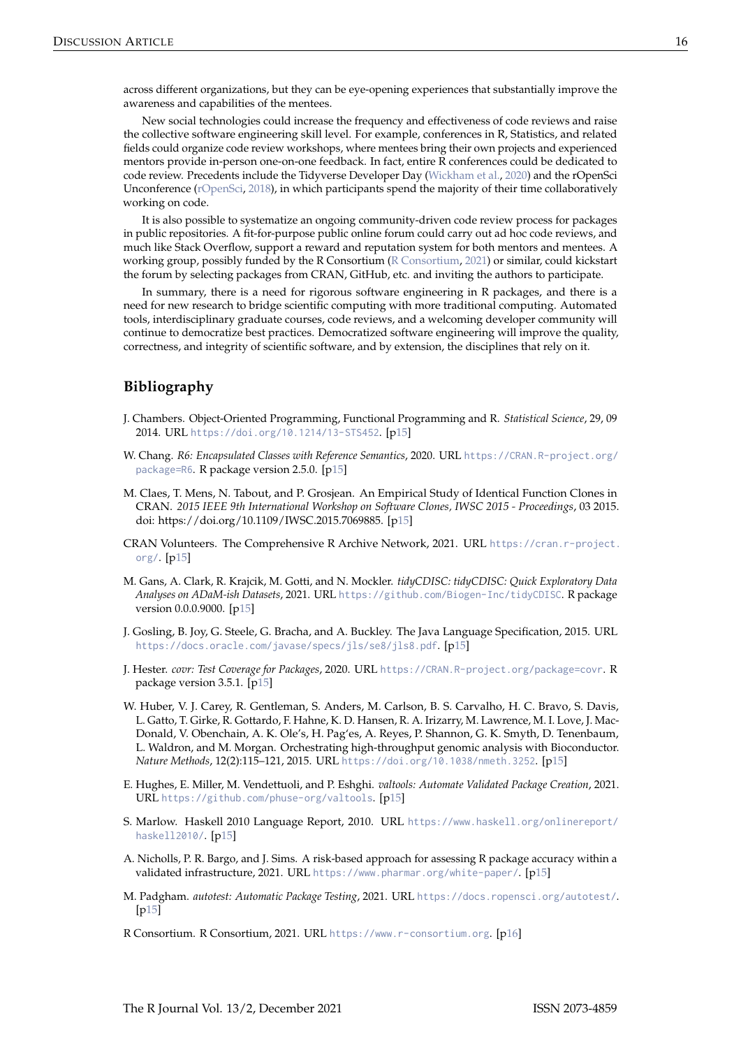<span id="page-1-13"></span>across different organizations, but they can be eye-opening experiences that substantially improve the awareness and capabilities of the mentees.

New social technologies could increase the frequency and effectiveness of code reviews and raise the collective software engineering skill level. For example, conferences in R, Statistics, and related fields could organize code review workshops, where mentees bring their own projects and experienced mentors provide in-person one-on-one feedback. In fact, entire R conferences could be dedicated to code review. Precedents include the Tidyverse Developer Day [\(Wickham et al.,](#page-2-8) [2020\)](#page-2-8) and the rOpenSci Unconference [\(rOpenSci,](#page-2-9) [2018\)](#page-2-9), in which participants spend the majority of their time collaboratively working on code.

It is also possible to systematize an ongoing community-driven code review process for packages in public repositories. A fit-for-purpose public online forum could carry out ad hoc code reviews, and much like Stack Overflow, support a reward and reputation system for both mentors and mentees. A working group, possibly funded by the R Consortium [\(R Consortium,](#page-1-12) [2021\)](#page-1-12) or similar, could kickstart the forum by selecting packages from CRAN, GitHub, etc. and inviting the authors to participate.

In summary, there is a need for rigorous software engineering in R packages, and there is a need for new research to bridge scientific computing with more traditional computing. Automated tools, interdisciplinary graduate courses, code reviews, and a welcoming developer community will continue to democratize best practices. Democratized software engineering will improve the quality, correctness, and integrity of scientific software, and by extension, the disciplines that rely on it.

## **Bibliography**

- <span id="page-1-6"></span>J. Chambers. Object-Oriented Programming, Functional Programming and R. *Statistical Science*, 29, 09 2014. URL <https://doi.org/10.1214/13-STS452>. [[p15\]](#page-0-0)
- <span id="page-1-7"></span>W. Chang. *R6: Encapsulated Classes with Reference Semantics*, 2020. URL [https://CRAN.R-project.org/](https://CRAN.R-project.org/package=R6) [package=R6](https://CRAN.R-project.org/package=R6). R package version 2.5.0. [[p15\]](#page-0-0)
- <span id="page-1-5"></span>M. Claes, T. Mens, N. Tabout, and P. Grosjean. An Empirical Study of Identical Function Clones in CRAN. *2015 IEEE 9th International Workshop on Software Clones, IWSC 2015 - Proceedings*, 03 2015. doi: https://doi.org/10.1109/IWSC.2015.7069885. [[p15\]](#page-0-0)
- <span id="page-1-10"></span>CRAN Volunteers. The Comprehensive R Archive Network, 2021. URL [https://cran.r-project.](https://cran.r-project.org/) [org/](https://cran.r-project.org/).  $[p15]$  $[p15]$
- <span id="page-1-1"></span>M. Gans, A. Clark, R. Krajcik, M. Gotti, and N. Mockler. *tidyCDISC: tidyCDISC: Quick Exploratory Data Analyses on ADaM-ish Datasets*, 2021. URL <https://github.com/Biogen-Inc/tidyCDISC>. R package version 0.0.0.9000. [[p15\]](#page-0-0)
- <span id="page-1-9"></span>J. Gosling, B. Joy, G. Steele, G. Bracha, and A. Buckley. The Java Language Specification, 2015. URL <https://docs.oracle.com/javase/specs/jls/se8/jls8.pdf>. [[p15\]](#page-0-0)
- <span id="page-1-2"></span>J. Hester. *covr: Test Coverage for Packages*, 2020. URL <https://CRAN.R-project.org/package=covr>. R package version 3.5.1. [[p15\]](#page-0-0)
- <span id="page-1-11"></span>W. Huber, V. J. Carey, R. Gentleman, S. Anders, M. Carlson, B. S. Carvalho, H. C. Bravo, S. Davis, L. Gatto, T. Girke, R. Gottardo, F. Hahne, K. D. Hansen, R. A. Irizarry, M. Lawrence, M. I. Love, J. Mac-Donald, V. Obenchain, A. K. Ole's, H. Pag'es, A. Reyes, P. Shannon, G. K. Smyth, D. Tenenbaum, L. Waldron, and M. Morgan. Orchestrating high-throughput genomic analysis with Bioconductor. *Nature Methods*, 12(2):115–121, 2015. URL <https://doi.org/10.1038/nmeth.3252>. [[p15\]](#page-0-0)
- <span id="page-1-4"></span>E. Hughes, E. Miller, M. Vendettuoli, and P. Eshghi. *valtools: Automate Validated Package Creation*, 2021. URL <https://github.com/phuse-org/valtools>. [[p15\]](#page-0-0)
- <span id="page-1-8"></span>S. Marlow. Haskell 2010 Language Report, 2010. URL [https://www.haskell.org/onlinereport/](https://www.haskell.org/onlinereport/haskell2010/) [haskell2010/](https://www.haskell.org/onlinereport/haskell2010/). [[p15\]](#page-0-0)
- <span id="page-1-0"></span>A. Nicholls, P. R. Bargo, and J. Sims. A risk-based approach for assessing R package accuracy within a validated infrastructure, 2021. URL <https://www.pharmar.org/white-paper/>. [[p15\]](#page-0-0)
- <span id="page-1-3"></span>M. Padgham. *autotest: Automatic Package Testing*, 2021. URL <https://docs.ropensci.org/autotest/>.  $[p15]$  $[p15]$
- <span id="page-1-12"></span>R Consortium. R Consortium, 2021. URL <https://www.r-consortium.org>. [[p16\]](#page-1-13)